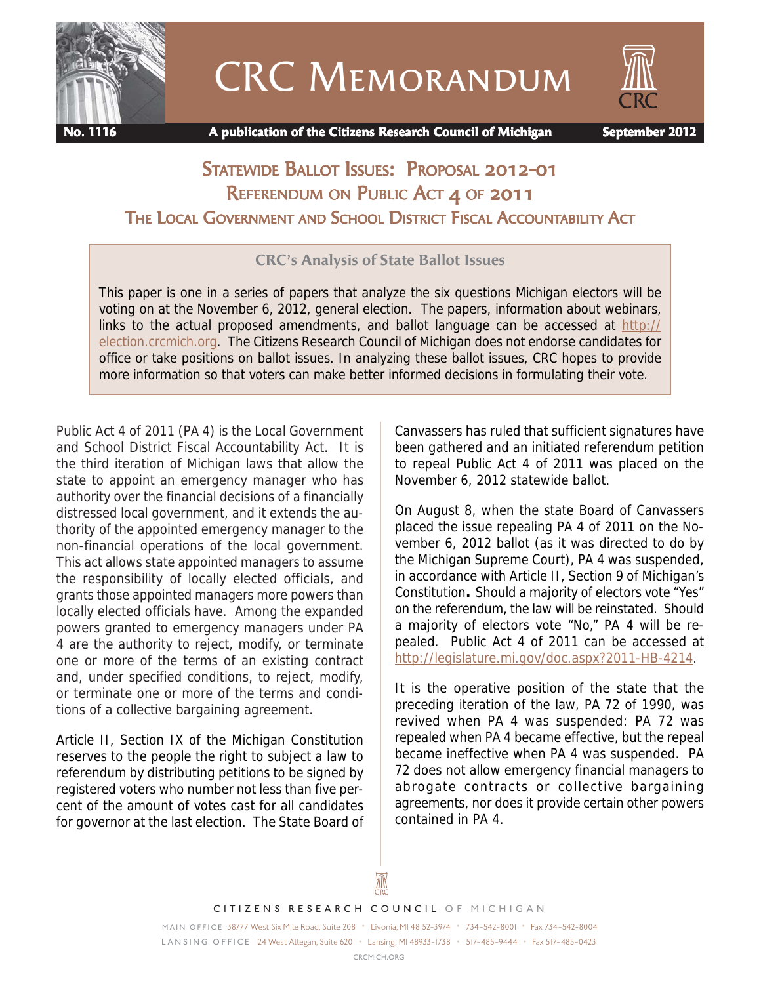

CRC Memorandum



 **No. 1116 A publication of the Citizens Research Council of Michigan September 2012**

# STATEWIDE BALLOT ISSUES: PROPOSAL 2012-01 REFERENDUM ON PUBLIC ACT 4 OF 2011 THE LOCAL GOVERNMENT AND SCHOOL DISTRICT FISCAL ACCOUNTABILITY ACT

### **CRC's Analysis of State Ballot Issues**

This paper is one in a series of papers that analyze the six questions Michigan electors will be voting on at the November 6, 2012, general election. The papers, information about webinars, links to the actual proposed amendments, and ballot language can be accessed at http:// election.crcmich.org. The Citizens Research Council of Michigan does not endorse candidates for office or take positions on ballot issues. In analyzing these ballot issues, CRC hopes to provide more information so that voters can make better informed decisions in formulating their vote.

Public Act 4 of 2011 (PA 4) is the Local Government and School District Fiscal Accountability Act. It is the third iteration of Michigan laws that allow the state to appoint an emergency manager who has authority over the financial decisions of a financially distressed local government, and it extends the authority of the appointed emergency manager to the non-financial operations of the local government. This act allows state appointed managers to assume the responsibility of locally elected officials, and grants those appointed managers more powers than locally elected officials have. Among the expanded powers granted to emergency managers under PA 4 are the authority to reject, modify, or terminate one or more of the terms of an existing contract and, under specified conditions, to reject, modify, or terminate one or more of the terms and conditions of a collective bargaining agreement.

Article II, Section IX of the Michigan Constitution reserves to the people the right to subject a law to referendum by distributing petitions to be signed by registered voters who number not less than five percent of the amount of votes cast for all candidates for governor at the last election. The State Board of Canvassers has ruled that sufficient signatures have been gathered and an initiated referendum petition to repeal Public Act 4 of 2011 was placed on the November 6, 2012 statewide ballot.

On August 8, when the state Board of Canvassers placed the issue repealing PA 4 of 2011 on the November 6, 2012 ballot (as it was directed to do by the Michigan Supreme Court), PA 4 was suspended, in accordance with Article II, Section 9 of Michigan's Constitution**.** Should a majority of electors vote "Yes" on the referendum, the law will be reinstated. Should a majority of electors vote "No," PA 4 will be repealed. Public Act 4 of 2011 can be accessed at http://legislature.mi.gov/doc.aspx?2011-HB-4214.

It is the operative position of the state that the preceding iteration of the law, PA 72 of 1990, was revived when PA 4 was suspended: PA 72 was repealed when PA 4 became effective, but the repeal became ineffective when PA 4 was suspended. PA 72 does not allow emergency financial managers to abrogate contracts or collective bargaining agreements, nor does it provide certain other powers contained in PA 4.

Ж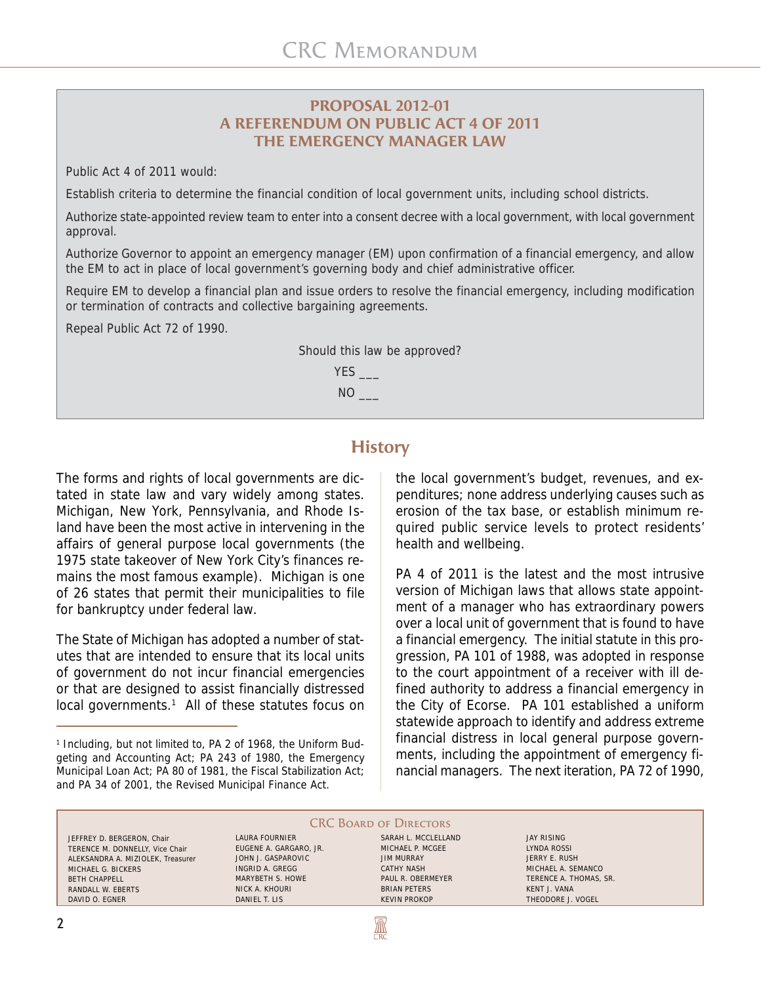#### **PROPOSAL 2012-01 A REFERENDUM ON PUBLIC ACT 4 OF 2011 THE EMERGENCY MANAGER LAW**

Public Act 4 of 2011 would:

Establish criteria to determine the financial condition of local government units, including school districts.

Authorize state-appointed review team to enter into a consent decree with a local government, with local government approval.

Authorize Governor to appoint an emergency manager (EM) upon confirmation of a financial emergency, and allow the EM to act in place of local government's governing body and chief administrative officer.

Require EM to develop a financial plan and issue orders to resolve the financial emergency, including modification or termination of contracts and collective bargaining agreements.

Repeal Public Act 72 of 1990.



### **History**

The forms and rights of local governments are dictated in state law and vary widely among states. Michigan, New York, Pennsylvania, and Rhode Island have been the most active in intervening in the affairs of general purpose local governments (the 1975 state takeover of New York City's finances remains the most famous example). Michigan is one of 26 states that permit their municipalities to file for bankruptcy under federal law.

The State of Michigan has adopted a number of statutes that are intended to ensure that its local units of government do not incur financial emergencies or that are designed to assist financially distressed local governments.<sup>1</sup> All of these statutes focus on

the local government's budget, revenues, and expenditures; none address underlying causes such as erosion of the tax base, or establish minimum required public service levels to protect residents' health and wellbeing.

PA 4 of 2011 is the latest and the most intrusive version of Michigan laws that allows state appointment of a manager who has extraordinary powers over a local unit of government that is found to have a financial emergency. The initial statute in this progression, PA 101 of 1988, was adopted in response to the court appointment of a receiver with ill defined authority to address a financial emergency in the City of Ecorse. PA 101 established a uniform statewide approach to identify and address extreme financial distress in local general purpose governments, including the appointment of emergency financial managers. The next iteration, PA 72 of 1990,

#### CRC BOARD OF DIRECTORS

**ANY** 

JEFFREY D. BERGERON, Chair TERENCE M. DONNELLY, Vice Chair ALEKSANDRA A. MIZIOLEK, Treasurer MICHAEL G. BICKERS BETH CHAPPELL RANDALL W. EBERTS DAVID O. EGNER

LAURA FOURNIER EUGENE A. GARGARO, JR. JOHN J. GASPAROVIC INGRID A. GREGG MARYBETH S. HOWE NICK A. KHOURI DANIEL T. LIS

SARAH L. MCCLELLAND MICHAEL P. MCGEE JIM MURRAY CATHY NASH PAUL R. OBERMEYER BRIAN PETERS KEVIN PROKOP

JAY RISING LYNDA ROSSI JERRY E. RUSH MICHAEL A. SEMANCO TERENCE A. THOMAS, SR. KENT J. VANA THEODORE J. VOGEL

<sup>&</sup>lt;sup>1</sup> Including, but not limited to, PA 2 of 1968, the Uniform Budgeting and Accounting Act; PA 243 of 1980, the Emergency Municipal Loan Act; PA 80 of 1981, the Fiscal Stabilization Act; and PA 34 of 2001, the Revised Municipal Finance Act.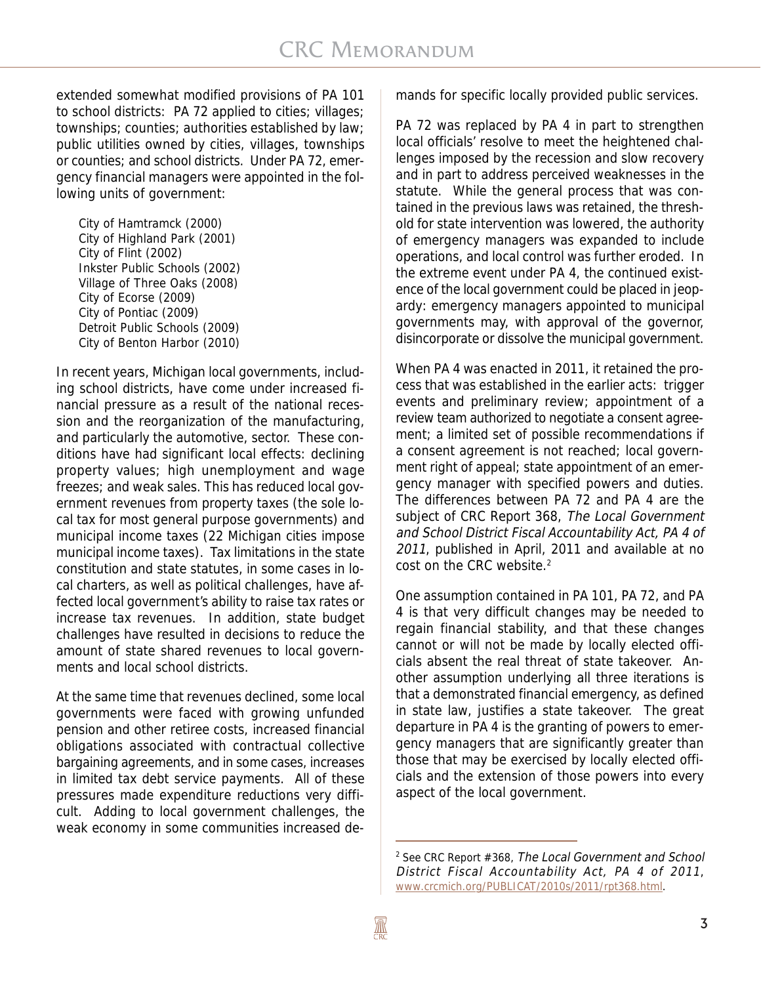extended somewhat modified provisions of PA 101 to school districts: PA 72 applied to cities; villages; townships; counties; authorities established by law; public utilities owned by cities, villages, townships or counties; and school districts. Under PA 72, emergency financial managers were appointed in the following units of government:

City of Hamtramck (2000) City of Highland Park (2001) City of Flint (2002) Inkster Public Schools (2002) Village of Three Oaks (2008) City of Ecorse (2009) City of Pontiac (2009) Detroit Public Schools (2009) City of Benton Harbor (2010)

In recent years, Michigan local governments, including school districts, have come under increased financial pressure as a result of the national recession and the reorganization of the manufacturing, and particularly the automotive, sector. These conditions have had significant local effects: declining property values; high unemployment and wage freezes; and weak sales. This has reduced local government revenues from property taxes (the sole local tax for most general purpose governments) and municipal income taxes (22 Michigan cities impose municipal income taxes). Tax limitations in the state constitution and state statutes, in some cases in local charters, as well as political challenges, have affected local government's ability to raise tax rates or increase tax revenues. In addition, state budget challenges have resulted in decisions to reduce the amount of state shared revenues to local governments and local school districts.

At the same time that revenues declined, some local governments were faced with growing unfunded pension and other retiree costs, increased financial obligations associated with contractual collective bargaining agreements, and in some cases, increases in limited tax debt service payments. All of these pressures made expenditure reductions very difficult. Adding to local government challenges, the weak economy in some communities increased demands for specific locally provided public services.

PA 72 was replaced by PA 4 in part to strengthen local officials' resolve to meet the heightened challenges imposed by the recession and slow recovery and in part to address perceived weaknesses in the statute. While the general process that was contained in the previous laws was retained, the threshold for state intervention was lowered, the authority of emergency managers was expanded to include operations, and local control was further eroded. In the extreme event under PA 4, the continued existence of the local government could be placed in jeopardy: emergency managers appointed to municipal governments may, with approval of the governor, disincorporate or dissolve the municipal government.

When PA 4 was enacted in 2011, it retained the process that was established in the earlier acts: trigger events and preliminary review; appointment of a review team authorized to negotiate a consent agreement; a limited set of possible recommendations if a consent agreement is not reached; local government right of appeal; state appointment of an emergency manager with specified powers and duties. The differences between PA 72 and PA 4 are the subject of CRC Report 368, The Local Government and School District Fiscal Accountability Act, PA 4 of 2011, published in April, 2011 and available at no cost on the CRC website.<sup>2</sup>

One assumption contained in PA 101, PA 72, and PA 4 is that very difficult changes may be needed to regain financial stability, and that these changes cannot or will not be made by locally elected officials absent the real threat of state takeover. Another assumption underlying all three iterations is that a demonstrated financial emergency, as defined in state law, justifies a state takeover. The great departure in PA 4 is the granting of powers to emergency managers that are significantly greater than those that may be exercised by locally elected officials and the extension of those powers into every aspect of the local government.

<sup>&</sup>lt;sup>2</sup> See CRC Report #368, The Local Government and School District Fiscal Accountability Act, PA 4 of 2011, www.crcmich.org/PUBLICAT/2010s/2011/rpt368.html.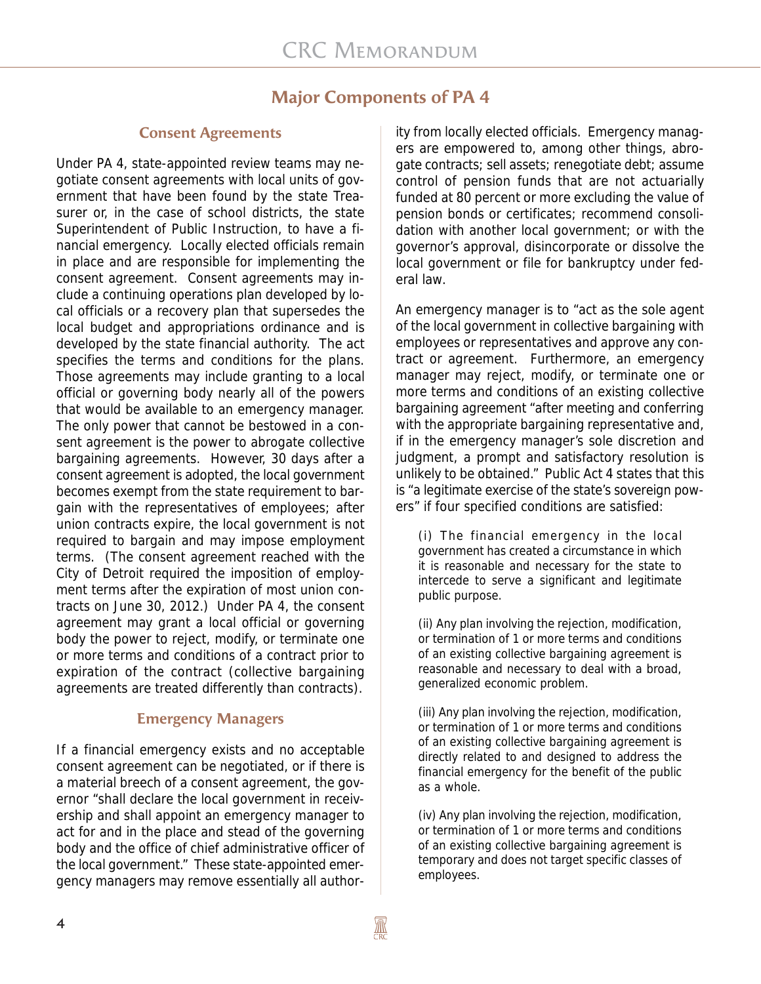### **Major Components of PA 4**

#### **Consent Agreements**

Under PA 4, state-appointed review teams may negotiate consent agreements with local units of government that have been found by the state Treasurer or, in the case of school districts, the state Superintendent of Public Instruction, to have a financial emergency. Locally elected officials remain in place and are responsible for implementing the consent agreement. Consent agreements may include a continuing operations plan developed by local officials or a recovery plan that supersedes the local budget and appropriations ordinance and is developed by the state financial authority. The act specifies the terms and conditions for the plans. Those agreements may include granting to a local official or governing body nearly all of the powers that would be available to an emergency manager. The only power that cannot be bestowed in a consent agreement is the power to abrogate collective bargaining agreements. However, 30 days after a consent agreement is adopted, the local government becomes exempt from the state requirement to bargain with the representatives of employees; after union contracts expire, the local government is not required to bargain and may impose employment terms. (The consent agreement reached with the City of Detroit required the imposition of employment terms after the expiration of most union contracts on June 30, 2012.) Under PA 4, the consent agreement may grant a local official or governing body the power to reject, modify, or terminate one or more terms and conditions of a contract prior to expiration of the contract (collective bargaining agreements are treated differently than contracts).

#### **Emergency Managers**

If a financial emergency exists and no acceptable consent agreement can be negotiated, or if there is a material breech of a consent agreement, the governor "shall declare the local government in receivership and shall appoint an emergency manager to act for and in the place and stead of the governing body and the office of chief administrative officer of the local government." These state-appointed emergency managers may remove essentially all authority from locally elected officials. Emergency managers are empowered to, among other things, abrogate contracts; sell assets; renegotiate debt; assume control of pension funds that are not actuarially funded at 80 percent or more excluding the value of pension bonds or certificates; recommend consolidation with another local government; or with the governor's approval, disincorporate or dissolve the local government or file for bankruptcy under federal law.

An emergency manager is to "act as the sole agent of the local government in collective bargaining with employees or representatives and approve any contract or agreement. Furthermore, an emergency manager may reject, modify, or terminate one or more terms and conditions of an existing collective bargaining agreement "after meeting and conferring with the appropriate bargaining representative and, if in the emergency manager's sole discretion and judgment, a prompt and satisfactory resolution is unlikely to be obtained." Public Act 4 states that this is "a legitimate exercise of the state's sovereign powers" if four specified conditions are satisfied:

(i) The financial emergency in the local government has created a circumstance in which it is reasonable and necessary for the state to intercede to serve a significant and legitimate public purpose.

(ii) Any plan involving the rejection, modification, or termination of 1 or more terms and conditions of an existing collective bargaining agreement is reasonable and necessary to deal with a broad, generalized economic problem.

(iii) Any plan involving the rejection, modification, or termination of 1 or more terms and conditions of an existing collective bargaining agreement is directly related to and designed to address the financial emergency for the benefit of the public as a whole.

(iv) Any plan involving the rejection, modification, or termination of 1 or more terms and conditions of an existing collective bargaining agreement is temporary and does not target specific classes of employees.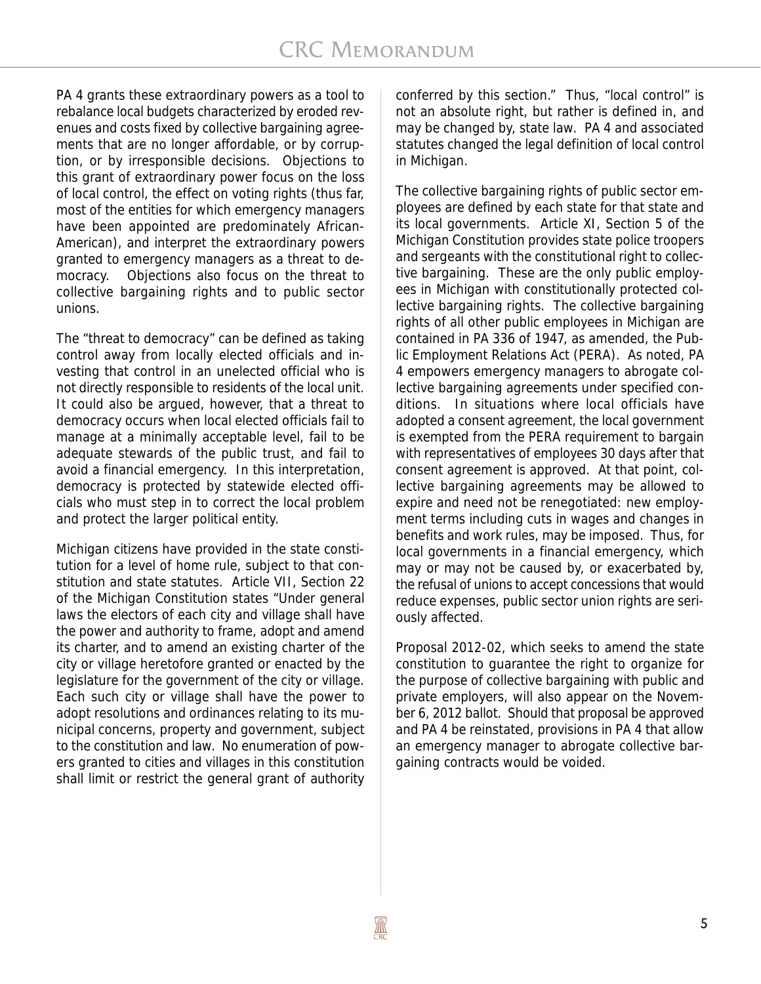PA 4 grants these extraordinary powers as a tool to rebalance local budgets characterized by eroded revenues and costs fixed by collective bargaining agreements that are no longer affordable, or by corruption, or by irresponsible decisions. Objections to this grant of extraordinary power focus on the loss of local control, the effect on voting rights (thus far, most of the entities for which emergency managers have been appointed are predominately African-American), and interpret the extraordinary powers granted to emergency managers as a threat to democracy. Objections also focus on the threat to collective bargaining rights and to public sector unions.

The "threat to democracy" can be defined as taking control away from locally elected officials and investing that control in an unelected official who is not directly responsible to residents of the local unit. It could also be argued, however, that a threat to democracy occurs when local elected officials fail to manage at a minimally acceptable level, fail to be adequate stewards of the public trust, and fail to avoid a financial emergency. In this interpretation, democracy is protected by statewide elected officials who must step in to correct the local problem and protect the larger political entity.

Michigan citizens have provided in the state constitution for a level of home rule, subject to that constitution and state statutes. Article VII, Section 22 of the Michigan Constitution states "Under general laws the electors of each city and village shall have the power and authority to frame, adopt and amend its charter, and to amend an existing charter of the city or village heretofore granted or enacted by the legislature for the government of the city or village. Each such city or village shall have the power to adopt resolutions and ordinances relating to its municipal concerns, property and government, subject to the constitution and law. No enumeration of powers granted to cities and villages in this constitution shall limit or restrict the general grant of authority conferred by this section." Thus, "local control" is not an absolute right, but rather is defined in, and may be changed by, state law. PA 4 and associated statutes changed the legal definition of local control in Michigan.

The collective bargaining rights of public sector employees are defined by each state for that state and its local governments. Article XI, Section 5 of the Michigan Constitution provides state police troopers and sergeants with the constitutional right to collective bargaining. These are the only public employees in Michigan with constitutionally protected collective bargaining rights. The collective bargaining rights of all other public employees in Michigan are contained in PA 336 of 1947, as amended, the Public Employment Relations Act (PERA). As noted, PA 4 empowers emergency managers to abrogate collective bargaining agreements under specified conditions. In situations where local officials have adopted a consent agreement, the local government is exempted from the PERA requirement to bargain with representatives of employees 30 days after that consent agreement is approved. At that point, collective bargaining agreements may be allowed to expire and need not be renegotiated: new employment terms including cuts in wages and changes in benefits and work rules, may be imposed. Thus, for local governments in a financial emergency, which may or may not be caused by, or exacerbated by, the refusal of unions to accept concessions that would reduce expenses, public sector union rights are seriously affected.

Proposal 2012-02, which seeks to amend the state constitution to guarantee the right to organize for the purpose of collective bargaining with public and private employers, will also appear on the November 6, 2012 ballot. Should that proposal be approved and PA 4 be reinstated, provisions in PA 4 that allow an emergency manager to abrogate collective bargaining contracts would be voided.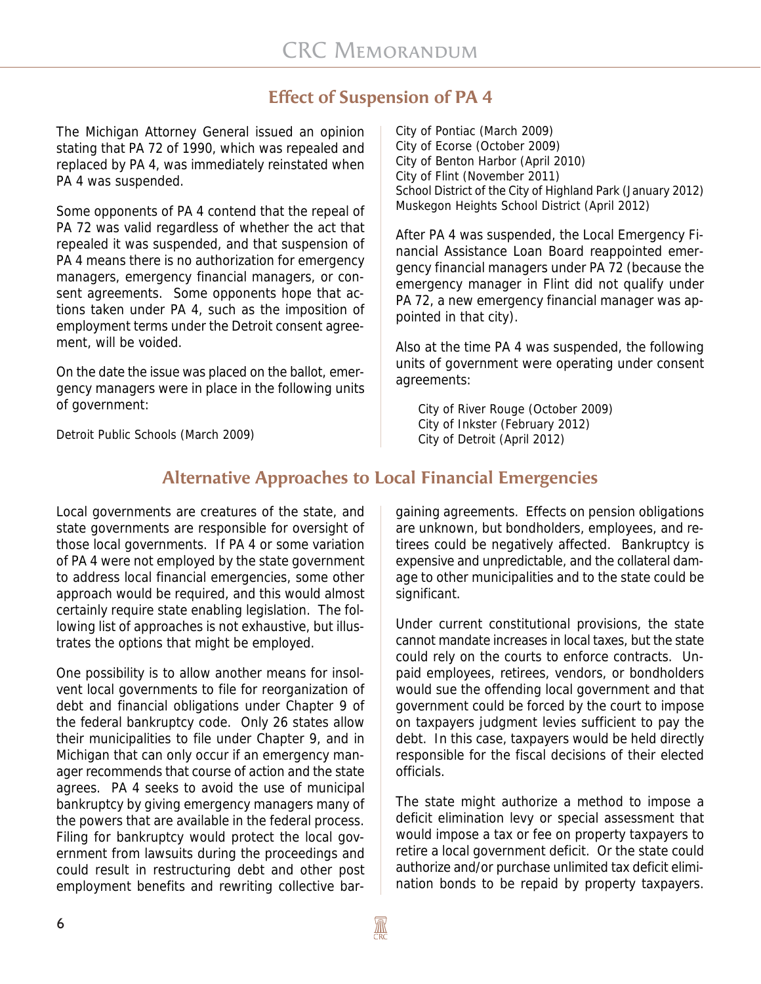## **Effect of Suspension of PA 4**

The Michigan Attorney General issued an opinion stating that PA 72 of 1990, which was repealed and replaced by PA 4, was immediately reinstated when PA 4 was suspended.

Some opponents of PA 4 contend that the repeal of PA 72 was valid regardless of whether the act that repealed it was suspended, and that suspension of PA 4 means there is no authorization for emergency managers, emergency financial managers, or consent agreements. Some opponents hope that actions taken under PA 4, such as the imposition of employment terms under the Detroit consent agreement, will be voided.

On the date the issue was placed on the ballot, emergency managers were in place in the following units of government:

City of Pontiac (March 2009) City of Ecorse (October 2009) City of Benton Harbor (April 2010) City of Flint (November 2011) School District of the City of Highland Park (January 2012) Muskegon Heights School District (April 2012)

After PA 4 was suspended, the Local Emergency Financial Assistance Loan Board reappointed emergency financial managers under PA 72 (because the emergency manager in Flint did not qualify under PA 72, a new emergency financial manager was appointed in that city).

Also at the time PA 4 was suspended, the following units of government were operating under consent agreements:

City of River Rouge (October 2009) City of Inkster (February 2012) City of Detroit (April 2012)

Detroit Public Schools (March 2009)

# **Alternative Approaches to Local Financial Emergencies**

Local governments are creatures of the state, and state governments are responsible for oversight of those local governments. If PA 4 or some variation of PA 4 were not employed by the state government to address local financial emergencies, some other approach would be required, and this would almost certainly require state enabling legislation. The following list of approaches is not exhaustive, but illustrates the options that might be employed.

One possibility is to allow another means for insolvent local governments to file for reorganization of debt and financial obligations under Chapter 9 of the federal bankruptcy code. Only 26 states allow their municipalities to file under Chapter 9, and in Michigan that can only occur if an emergency manager recommends that course of action and the state agrees. PA 4 seeks to avoid the use of municipal bankruptcy by giving emergency managers many of the powers that are available in the federal process. Filing for bankruptcy would protect the local government from lawsuits during the proceedings and could result in restructuring debt and other post employment benefits and rewriting collective bar-

gaining agreements. Effects on pension obligations are unknown, but bondholders, employees, and retirees could be negatively affected. Bankruptcy is expensive and unpredictable, and the collateral damage to other municipalities and to the state could be significant.

Under current constitutional provisions, the state cannot mandate increases in local taxes, but the state could rely on the courts to enforce contracts. Unpaid employees, retirees, vendors, or bondholders would sue the offending local government and that government could be forced by the court to impose on taxpayers judgment levies sufficient to pay the debt. In this case, taxpayers would be held directly responsible for the fiscal decisions of their elected officials.

The state might authorize a method to impose a deficit elimination levy or special assessment that would impose a tax or fee on property taxpayers to retire a local government deficit. Or the state could authorize and/or purchase unlimited tax deficit elimination bonds to be repaid by property taxpayers.